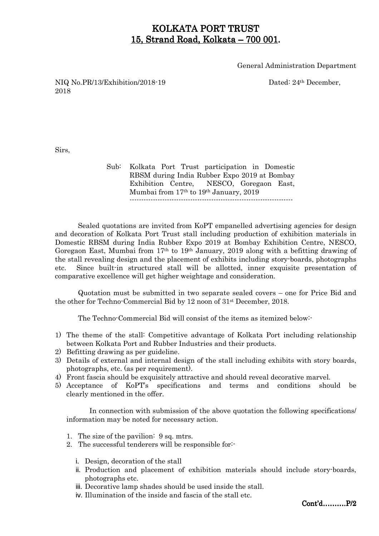# KOLKATA PORT TRUST 15, Strand Road, Kolkata –  $700001$ .

General Administration Department

NIQ No.PR/13/Exhibition/2018-19 Dated: 24th December, 2018

Sirs,

Sub: Kolkata Port Trust participation in Domestic RBSM during India Rubber Expo 2019 at Bombay Exhibition Centre, NESCO, Goregaon East, Mumbai from 17th to 19th January, 2019 ----------------------------------------------------------------------

 Sealed quotations are invited from KoPT empanelled advertising agencies for design and decoration of Kolkata Port Trust stall including production of exhibition materials in Domestic RBSM during India Rubber Expo 2019 at Bombay Exhibition Centre, NESCO, Goregaon East, Mumbai from 17th to 19th January, 2019 along with a befitting drawing of the stall revealing design and the placement of exhibits including story-boards, photographs etc. Since built-in structured stall will be allotted, inner exquisite presentation of comparative excellence will get higher weightage and consideration.

 Quotation must be submitted in two separate sealed covers – one for Price Bid and the other for Techno-Commercial Bid by 12 noon of 31st December, 2018.

The Techno-Commercial Bid will consist of the items as itemized below:-

- 1) The theme of the stall: Competitive advantage of Kolkata Port including relationship between Kolkata Port and Rubber Industries and their products.
- 2) Befitting drawing as per guideline.
- 3) Details of external and internal design of the stall including exhibits with story boards, photographs, etc. (as per requirement).
- 4) Front fascia should be exquisitely attractive and should reveal decorative marvel.
- 5) Acceptance of KoPT's specifications and terms and conditions should be clearly mentioned in the offer.

In connection with submission of the above quotation the following specifications/ information may be noted for necessary action.

- 1. The size of the pavilion: 9 sq. mtrs.
- 2. The successful tenderers will be responsible for:
	- i. Design, decoration of the stall
	- ii. Production and placement of exhibition materials should include story-boards, photographs etc.
	- iii. Decorative lamp shades should be used inside the stall.
	- iv. Illumination of the inside and fascia of the stall etc.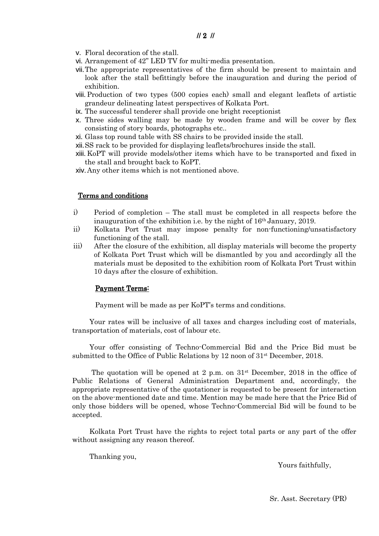- v. Floral decoration of the stall.
- vi. Arrangement of 42" LED TV for multi-media presentation.
- vii.The appropriate representatives of the firm should be present to maintain and look after the stall befittingly before the inauguration and during the period of exhibition.
- viii.Production of two types (500 copies each) small and elegant leaflets of artistic grandeur delineating latest perspectives of Kolkata Port.
- ix. The successful tenderer shall provide one bright receptionist
- x. Three sides walling may be made by wooden frame and will be cover by flex consisting of story boards, photographs etc..
- xi. Glass top round table with SS chairs to be provided inside the stall.

xii.SS rack to be provided for displaying leaflets/brochures inside the stall.

xiii. KoPT will provide models/other items which have to be transported and fixed in the stall and brought back to KoPT.

xiv.Any other items which is not mentioned above.

#### Terms and conditions

- i) Period of completion The stall must be completed in all respects before the inauguration of the exhibition i.e. by the night of 16th January, 2019.
- ii) Kolkata Port Trust may impose penalty for non-functioning/unsatisfactory functioning of the stall.
- iii) After the closure of the exhibition, all display materials will become the property of Kolkata Port Trust which will be dismantled by you and accordingly all the materials must be deposited to the exhibition room of Kolkata Port Trust within 10 days after the closure of exhibition.

#### Payment Terms:

Payment will be made as per KoPT's terms and conditions.

Your rates will be inclusive of all taxes and charges including cost of materials, transportation of materials, cost of labour etc.

Your offer consisting of Techno-Commercial Bid and the Price Bid must be submitted to the Office of Public Relations by 12 noon of 31st December, 2018.

The quotation will be opened at 2 p.m. on  $31<sup>st</sup>$  December, 2018 in the office of Public Relations of General Administration Department and, accordingly, the appropriate representative of the quotationer is requested to be present for interaction on the above-mentioned date and time. Mention may be made here that the Price Bid of only those bidders will be opened, whose Techno-Commercial Bid will be found to be accepted.

Kolkata Port Trust have the rights to reject total parts or any part of the offer without assigning any reason thereof.

Thanking you,

Yours faithfully,

Sr. Asst. Secretary (PR)